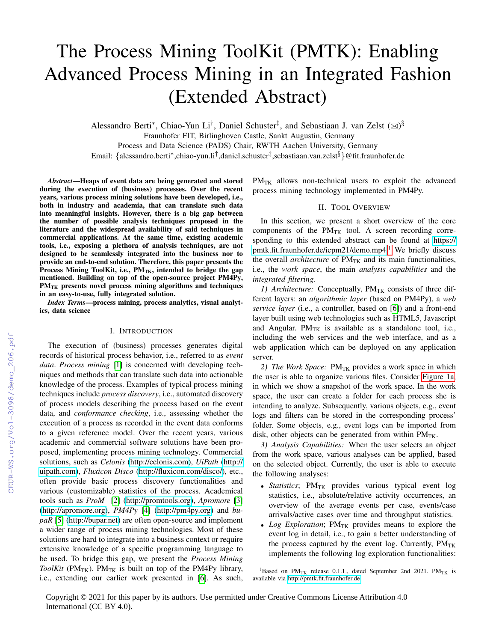# The Process Mining ToolKit (PMTK): Enabling Advanced Process Mining in an Integrated Fashion (Extended Abstract)

Alessandro Berti\*, Chiao-Yun Li<sup>†</sup>, Daniel Schuster<sup>‡</sup>, and Sebastiaan J. van Zelst (⊠)<sup>§</sup> Fraunhofer FIT, Birlinghoven Castle, Sankt Augustin, Germany Process and Data Science (PADS) Chair, RWTH Aachen University, Germany Email: {alessandro.berti\*,chiao-yun.li<sup>†</sup>,daniel.schuster<sup>‡</sup>,sebastiaan.van.zelst<sup>§</sup>}@fit.fraunhofer.de

*Abstract*—Heaps of event data are being generated and stored during the execution of (business) processes. Over the recent years, various process mining solutions have been developed, i.e., both in industry and academia, that can translate such data into meaningful insights. However, there is a big gap between the number of possible analysis techniques proposed in the literature and the widespread availability of said techniques in commercial applications. At the same time, existing academic tools, i.e., exposing a plethora of analysis techniques, are not designed to be seamlessly integrated into the business nor to provide an end-to-end solution. Therefore, this paper presents the Process Mining ToolKit, i.e.,  $PM_{TK}$ , intended to bridge the gap mentioned. Building on top of the open-source project PM4Py, PM<sub>TK</sub> presents novel process mining algorithms and techniques in an easy-to-use, fully integrated solution.

*Index Terms*—process mining, process analytics, visual analytics, data science

### I. INTRODUCTION

The execution of (business) processes generates digital records of historical process behavior, i.e., referred to as *event data*. *Process mining* [\[1\]](#page--1-0) is concerned with developing techniques and methods that can translate such data into actionable knowledge of the process. Examples of typical process mining techniques include *process discovery*, i.e., automated discovery of process models describing the process based on the event data, and *conformance checking*, i.e., assessing whether the execution of a process as recorded in the event data conforms to a given reference model. Over the recent years, various academic and commercial software solutions have been proposed, implementing process mining technology. Commercial solutions, such as *Celonis* [\(http://celonis.com\)](http://celonis.com), *UiPath* [\(http://](http://uipath.com) [uipath.com\)](http://uipath.com), *Fluxicon Disco* [\(http://fluxicon.com/disco/\)](http://fluxicon.com/disco/), etc., often provide basic process discovery functionalities and various (customizable) statistics of the process. Academical tools such as *ProM* [\[2\]](#page--1-1) [\(http://promtools.org\)](http://promtools.org), *Apromore* [\[3\]](#page--1-2) [\(http://apromore.org\)](http://apromore.org), *PM4Py* [\[4\]](#page--1-3) [\(http://pm4py.org\)](http://pm4py.org) and *bupaR* [\[5\]](#page--1-4) [\(http://bupar.net\)](http://bupar.net) are often open-source and implement a wider range of process mining technologies. Most of these solutions are hard to integrate into a business context or require extensive knowledge of a specific programming language to be used. To bridge this gap, we present the *Process Mining ToolKit* ( $PM_{TK}$ ).  $PM_{TK}$  is built on top of the  $PM4Py$  library, i.e., extending our earlier work presented in [\[6\]](#page--1-5). As such,  $PM_{TK}$  allows non-technical users to exploit the advanced process mining technology implemented in PM4Py.

## II. TOOL OVERVIEW

In this section, we present a short overview of the core components of the  $PM_{TK}$  tool. A screen recording corresponding to this extended abstract can be found at [https://](https://pmtk.fit.fraunhofer.de/icpm21/demo.mp4) [pmtk.fit.fraunhofer.de/icpm21/demo.mp4.](https://pmtk.fit.fraunhofer.de/icpm21/demo.mp4)<sup>[1](#page-0-0)</sup> We briefly discuss the overall *architecture* of  $PM_{TK}$  and its main functionalities, i.e., the *work space*, the main *analysis capabilities* and the *integrated filtering*.

*1) Architecture:* Conceptually, PM<sub>TK</sub> consists of three different layers: an *algorithmic layer* (based on PM4Py), a *web service layer* (i.e., a controller, based on [\[6\]](#page--1-5)) and a front-end layer built using web technologies such as HTML5, Javascript and Angular.  $PM_{TK}$  is available as a standalone tool, i.e., including the web services and the web interface, and as a web application which can be deployed on any application server.

2) *The Work Space:* PM<sub>TK</sub> provides a work space in which the user is able to organize various files. Consider [Figure 1a,](#page--1-6) in which we show a snapshot of the work space. In the work space, the user can create a folder for each process she is intending to analyze. Subsequently, various objects, e.g., event logs and filters can be stored in the corresponding process' folder. Some objects, e.g., event logs can be imported from disk, other objects can be generated from within  $PM_{TK}$ .

*3) Analysis Capabilities:* When the user selects an object from the work space, various analyses can be applied, based on the selected object. Currently, the user is able to execute the following analyses:

- *Statistics*; PM<sub>TK</sub> provides various typical event log statistics, i.e., absolute/relative activity occurrences, an overview of the average events per case, events/case arrivals/active cases over time and throughput statistics.
- *Log Exploration*; PM<sub>TK</sub> provides means to explore the event log in detail, i.e., to gain a better understanding of the process captured by the event log. Currently,  $PM_{TK}$ implements the following log exploration functionalities:

<span id="page-0-0"></span><sup>1</sup>Based on PM<sub>TK</sub> release 0.1.1., dated September 2nd 2021. PM<sub>TK</sub> is available via<http://pmtk.fit.fraunhofer.de>

Copyright © 2021 for this paper by its authors. Use permitted under Creative Commons License Attribution 4.0 International (CC BY 4.0).